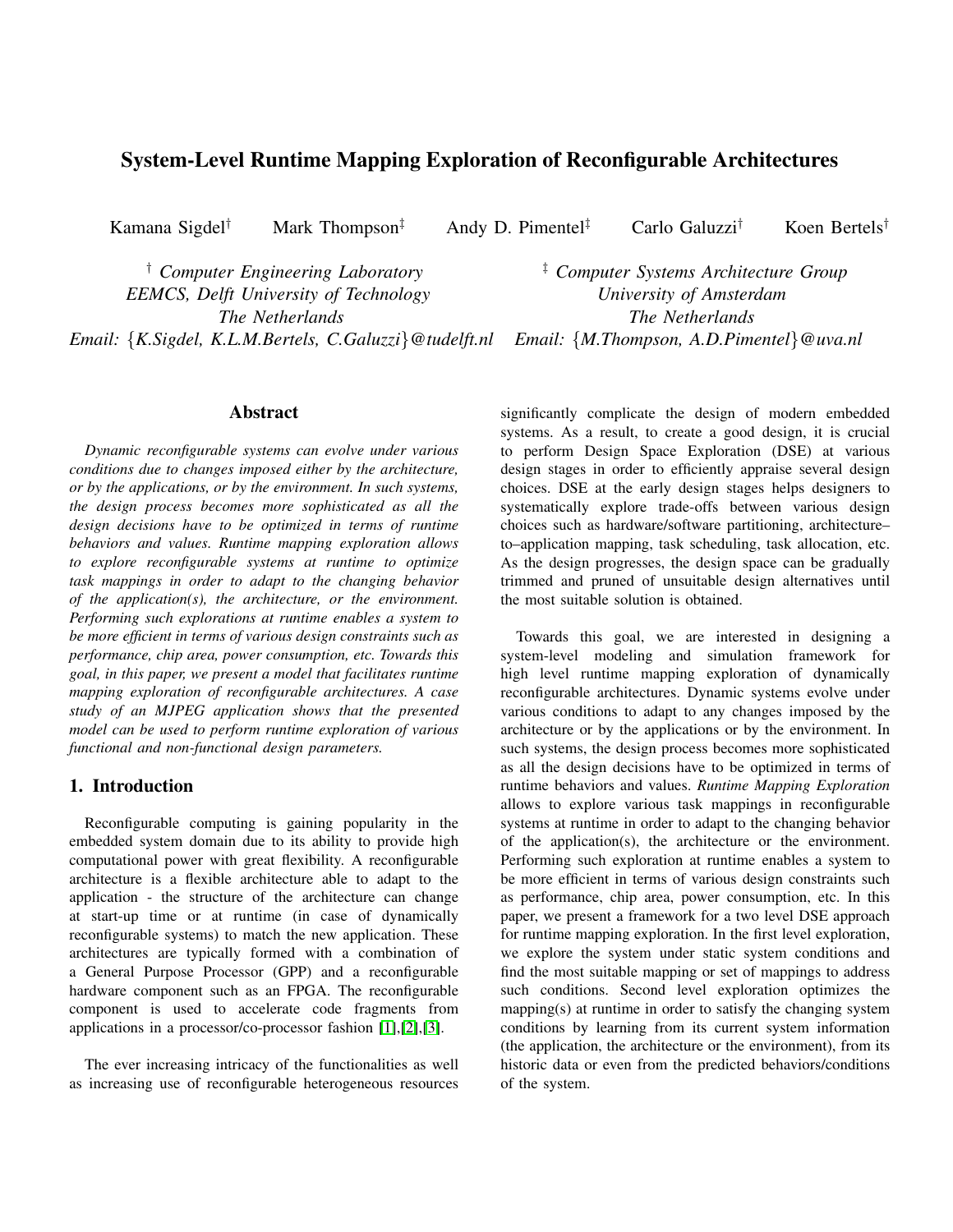# System-Level Runtime Mapping Exploration of Reconfigurable Architectures

Kamana Sigdel<sup>†</sup> Mark Thompson<sup>‡</sup> Andy D. Pimentel<sup>‡</sup> Carlo Galuzzi<sup>†</sup> Koen Bertels<sup>†</sup>

† *Computer Engineering Laboratory EEMCS, Delft University of Technology The Netherlands*

### Abstract

*Dynamic reconfigurable systems can evolve under various conditions due to changes imposed either by the architecture, or by the applications, or by the environment. In such systems, the design process becomes more sophisticated as all the design decisions have to be optimized in terms of runtime behaviors and values. Runtime mapping exploration allows to explore reconfigurable systems at runtime to optimize task mappings in order to adapt to the changing behavior of the application(s), the architecture, or the environment. Performing such explorations at runtime enables a system to be more efficient in terms of various design constraints such as performance, chip area, power consumption, etc. Towards this goal, in this paper, we present a model that facilitates runtime mapping exploration of reconfigurable architectures. A case study of an MJPEG application shows that the presented model can be used to perform runtime exploration of various functional and non-functional design parameters.*

# 1. Introduction

Reconfigurable computing is gaining popularity in the embedded system domain due to its ability to provide high computational power with great flexibility. A reconfigurable architecture is a flexible architecture able to adapt to the application - the structure of the architecture can change at start-up time or at runtime (in case of dynamically reconfigurable systems) to match the new application. These architectures are typically formed with a combination of a General Purpose Processor (GPP) and a reconfigurable hardware component such as an FPGA. The reconfigurable component is used to accelerate code fragments from applications in a processor/co-processor fashion [\[1\]](#page-7-0),[\[2\]](#page-7-1),[\[3\]](#page-7-2).

The ever increasing intricacy of the functionalities as well as increasing use of reconfigurable heterogeneous resources significantly complicate the design of modern embedded systems. As a result, to create a good design, it is crucial to perform Design Space Exploration (DSE) at various design stages in order to efficiently appraise several design choices. DSE at the early design stages helps designers to systematically explore trade-offs between various design choices such as hardware/software partitioning, architecture– to–application mapping, task scheduling, task allocation, etc. As the design progresses, the design space can be gradually trimmed and pruned of unsuitable design alternatives until the most suitable solution is obtained.

Towards this goal, we are interested in designing a system-level modeling and simulation framework for high level runtime mapping exploration of dynamically reconfigurable architectures. Dynamic systems evolve under various conditions to adapt to any changes imposed by the architecture or by the applications or by the environment. In such systems, the design process becomes more sophisticated as all the design decisions have to be optimized in terms of runtime behaviors and values. *Runtime Mapping Exploration* allows to explore various task mappings in reconfigurable systems at runtime in order to adapt to the changing behavior of the application(s), the architecture or the environment. Performing such exploration at runtime enables a system to be more efficient in terms of various design constraints such as performance, chip area, power consumption, etc. In this paper, we present a framework for a two level DSE approach for runtime mapping exploration. In the first level exploration, we explore the system under static system conditions and find the most suitable mapping or set of mappings to address such conditions. Second level exploration optimizes the mapping(s) at runtime in order to satisfy the changing system conditions by learning from its current system information (the application, the architecture or the environment), from its historic data or even from the predicted behaviors/conditions of the system.

*Email:* {*K.Sigdel, K.L.M.Bertels, C.Galuzzi*}*@tudelft.nl Email:* {*M.Thompson, A.D.Pimentel*}*@uva.nl* ‡ *Computer Systems Architecture Group University of Amsterdam The Netherlands*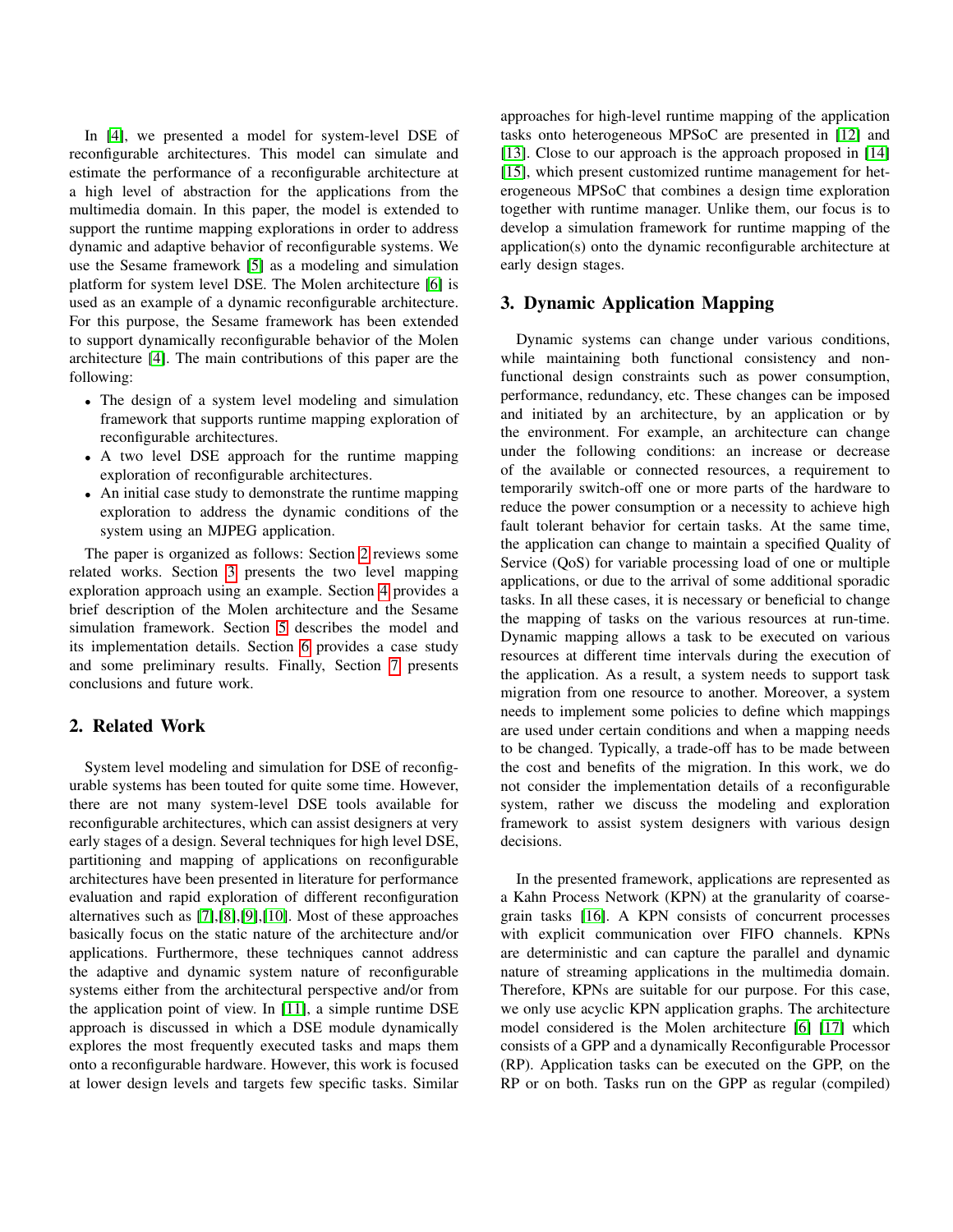In [\[4\]](#page-7-3), we presented a model for system-level DSE of reconfigurable architectures. This model can simulate and estimate the performance of a reconfigurable architecture at a high level of abstraction for the applications from the multimedia domain. In this paper, the model is extended to support the runtime mapping explorations in order to address dynamic and adaptive behavior of reconfigurable systems. We use the Sesame framework [\[5\]](#page-7-4) as a modeling and simulation platform for system level DSE. The Molen architecture [\[6\]](#page-7-5) is used as an example of a dynamic reconfigurable architecture. For this purpose, the Sesame framework has been extended to support dynamically reconfigurable behavior of the Molen architecture [\[4\]](#page-7-3). The main contributions of this paper are the following:

- The design of a system level modeling and simulation framework that supports runtime mapping exploration of reconfigurable architectures.
- A two level DSE approach for the runtime mapping exploration of reconfigurable architectures.
- An initial case study to demonstrate the runtime mapping exploration to address the dynamic conditions of the system using an MJPEG application.

The paper is organized as follows: Section [2](#page-1-0) reviews some related works. Section [3](#page-1-1) presents the two level mapping exploration approach using an example. Section [4](#page-3-0) provides a brief description of the Molen architecture and the Sesame simulation framework. Section [5](#page-4-0) describes the model and its implementation details. Section [6](#page-5-0) provides a case study and some preliminary results. Finally, Section [7](#page-7-6) presents conclusions and future work.

# <span id="page-1-0"></span>2. Related Work

System level modeling and simulation for DSE of reconfigurable systems has been touted for quite some time. However, there are not many system-level DSE tools available for reconfigurable architectures, which can assist designers at very early stages of a design. Several techniques for high level DSE, partitioning and mapping of applications on reconfigurable architectures have been presented in literature for performance evaluation and rapid exploration of different reconfiguration alternatives such as [\[7\]](#page-7-7),[\[8\]](#page-7-8),[\[9\]](#page-7-9),[\[10\]](#page-7-10). Most of these approaches basically focus on the static nature of the architecture and/or applications. Furthermore, these techniques cannot address the adaptive and dynamic system nature of reconfigurable systems either from the architectural perspective and/or from the application point of view. In [\[11\]](#page-7-11), a simple runtime DSE approach is discussed in which a DSE module dynamically explores the most frequently executed tasks and maps them onto a reconfigurable hardware. However, this work is focused at lower design levels and targets few specific tasks. Similar approaches for high-level runtime mapping of the application tasks onto heterogeneous MPSoC are presented in [\[12\]](#page-7-12) and [\[13\]](#page-7-13). Close to our approach is the approach proposed in [\[14\]](#page-7-14) [\[15\]](#page-7-15), which present customized runtime management for heterogeneous MPSoC that combines a design time exploration together with runtime manager. Unlike them, our focus is to develop a simulation framework for runtime mapping of the application(s) onto the dynamic reconfigurable architecture at early design stages.

# <span id="page-1-1"></span>3. Dynamic Application Mapping

Dynamic systems can change under various conditions, while maintaining both functional consistency and nonfunctional design constraints such as power consumption, performance, redundancy, etc. These changes can be imposed and initiated by an architecture, by an application or by the environment. For example, an architecture can change under the following conditions: an increase or decrease of the available or connected resources, a requirement to temporarily switch-off one or more parts of the hardware to reduce the power consumption or a necessity to achieve high fault tolerant behavior for certain tasks. At the same time, the application can change to maintain a specified Quality of Service (QoS) for variable processing load of one or multiple applications, or due to the arrival of some additional sporadic tasks. In all these cases, it is necessary or beneficial to change the mapping of tasks on the various resources at run-time. Dynamic mapping allows a task to be executed on various resources at different time intervals during the execution of the application. As a result, a system needs to support task migration from one resource to another. Moreover, a system needs to implement some policies to define which mappings are used under certain conditions and when a mapping needs to be changed. Typically, a trade-off has to be made between the cost and benefits of the migration. In this work, we do not consider the implementation details of a reconfigurable system, rather we discuss the modeling and exploration framework to assist system designers with various design decisions.

In the presented framework, applications are represented as a Kahn Process Network (KPN) at the granularity of coarsegrain tasks [\[16\]](#page-7-16). A KPN consists of concurrent processes with explicit communication over FIFO channels. KPNs are deterministic and can capture the parallel and dynamic nature of streaming applications in the multimedia domain. Therefore, KPNs are suitable for our purpose. For this case, we only use acyclic KPN application graphs. The architecture model considered is the Molen architecture [\[6\]](#page-7-5) [\[17\]](#page-7-17) which consists of a GPP and a dynamically Reconfigurable Processor (RP). Application tasks can be executed on the GPP, on the RP or on both. Tasks run on the GPP as regular (compiled)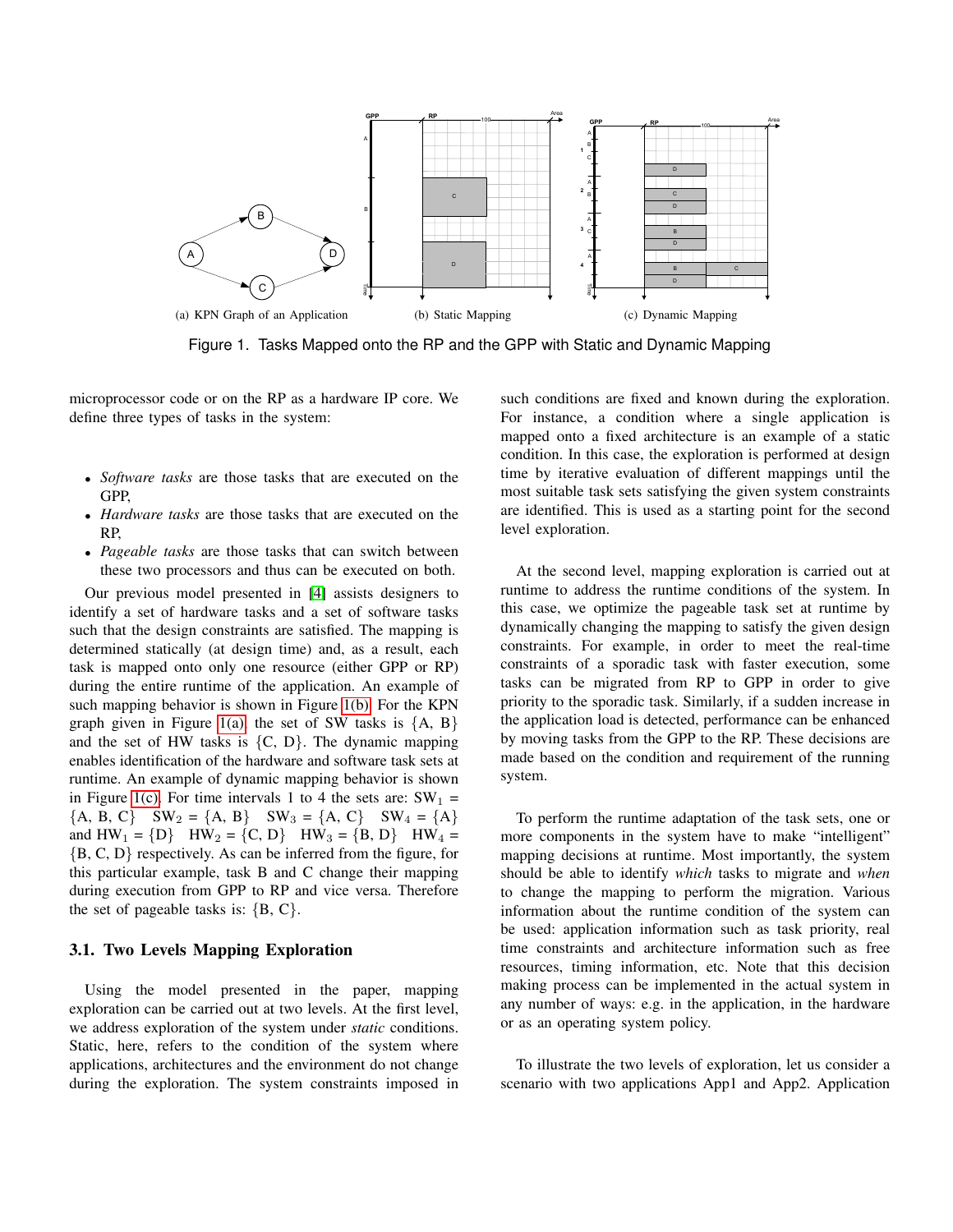<span id="page-2-1"></span>

<span id="page-2-0"></span>Figure 1. Tasks Mapped onto the RP and the GPP with Static and Dynamic Mapping

microprocessor code or on the RP as a hardware IP core. We define three types of tasks in the system:

- *Software tasks* are those tasks that are executed on the GPP,
- *Hardware tasks* are those tasks that are executed on the RP,
- *Pageable tasks* are those tasks that can switch between these two processors and thus can be executed on both.

Our previous model presented in [\[4\]](#page-7-3) assists designers to identify a set of hardware tasks and a set of software tasks such that the design constraints are satisfied. The mapping is determined statically (at design time) and, as a result, each task is mapped onto only one resource (either GPP or RP) during the entire runtime of the application. An example of such mapping behavior is shown in Figure [1\(b\).](#page-2-0) For the KPN graph given in Figure [1\(a\),](#page-2-1) the set of SW tasks is  ${A, B}$ and the set of HW tasks is  $\{C, D\}$ . The dynamic mapping enables identification of the hardware and software task sets at runtime. An example of dynamic mapping behavior is shown in Figure [1\(c\).](#page-2-2) For time intervals 1 to 4 the sets are:  $SW_1 =$  ${A, B, C}$  SW<sub>2</sub> = {A, B} SW<sub>3</sub> = {A, C} SW<sub>4</sub> = {A} and  $HW_1 = {D}$   $HW_2 = {C, D}$   $HW_3 = {B, D}$   $HW_4 =$ {B, C, D} respectively. As can be inferred from the figure, for this particular example, task B and C change their mapping during execution from GPP to RP and vice versa. Therefore the set of pageable tasks is:  ${B, C}$ .

# <span id="page-2-3"></span>3.1. Two Levels Mapping Exploration

Using the model presented in the paper, mapping exploration can be carried out at two levels. At the first level, we address exploration of the system under *static* conditions. Static, here, refers to the condition of the system where applications, architectures and the environment do not change during the exploration. The system constraints imposed in <span id="page-2-2"></span>and the Contract of the Contract of the Contract of the Contract of the Contract of the Contract of the Contract of the Contract of the Contract of the Contract of the Contract of the Contract of the Contract of the Contra **B Contract Contract Contract** condition. In this case, the exploration is performed at design most suitable task sets satisfying the given system constraints For instance, a condition where a single application is such conditions are fixed and known during the exploration. mapped onto a fixed architecture is an example of a static time by iterative evaluation of different mappings until the are identified. This is used as a starting point for the second level exploration.

At the second level, mapping exploration is carried out at runtime to address the runtime conditions of the system. In this case, we optimize the pageable task set at runtime by dynamically changing the mapping to satisfy the given design constraints. For example, in order to meet the real-time constraints of a sporadic task with faster execution, some tasks can be migrated from RP to GPP in order to give priority to the sporadic task. Similarly, if a sudden increase in the application load is detected, performance can be enhanced by moving tasks from the GPP to the RP. These decisions are made based on the condition and requirement of the running system.

To perform the runtime adaptation of the task sets, one or more components in the system have to make "intelligent" mapping decisions at runtime. Most importantly, the system should be able to identify *which* tasks to migrate and *when* to change the mapping to perform the migration. Various information about the runtime condition of the system can be used: application information such as task priority, real time constraints and architecture information such as free resources, timing information, etc. Note that this decision making process can be implemented in the actual system in any number of ways: e.g. in the application, in the hardware or as an operating system policy.

To illustrate the two levels of exploration, let us consider a scenario with two applications App1 and App2. Application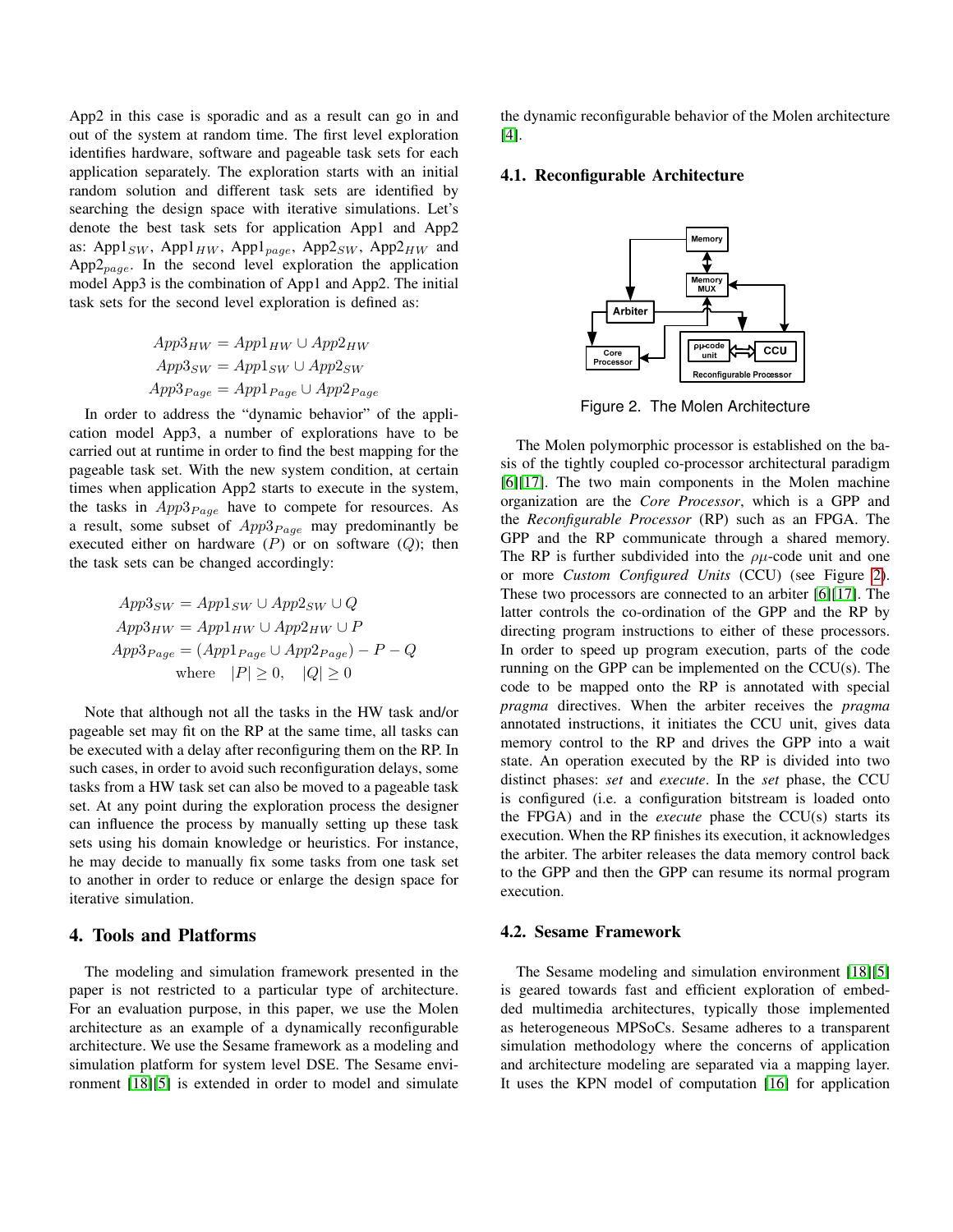App2 in this case is sporadic and as a result can go in and out of the system at random time. The first level exploration identifies hardware, software and pageable task sets for each application separately. The exploration starts with an initial random solution and different task sets are identified by searching the design space with iterative simulations. Let's denote the best task sets for application App1 and App2 as: App $1_{SW}$ , App $1_{HW}$ , App $1_{page}$ , App $2_{SW}$ , App $2_{HW}$  and  $App2_{page}$ . In the second level exploration the application model App3 is the combination of App1 and App2. The initial task sets for the second level exploration is defined as:

$$
App3_{HW} = App1_{HW} \cup App2_{HW}
$$

$$
App3_{SW} = App1_{SW} \cup App2_{SW}
$$

$$
App3_{Page} = App1_{Page} \cup App2_{Page}
$$

In order to address the "dynamic behavior" of the application model App3, a number of explorations have to be carried out at runtime in order to find the best mapping for the pageable task set. With the new system condition, at certain times when application App2 starts to execute in the system, the tasks in  $App3_{Page}$  have to compete for resources. As a result, some subset of  $App3_{Page}$  may predominantly be executed either on hardware  $(P)$  or on software  $(Q)$ ; then the task sets can be changed accordingly:

$$
App3_{SW} = App1_{SW} \cup App2_{SW} \cup Q
$$
  
\n
$$
App3_{HW} = App1_{HW} \cup App2_{HW} \cup P
$$
  
\n
$$
App3_{Page} = (App1_{Page} \cup App2_{Page}) - P - Q
$$
  
\nwhere  $|P| \ge 0$ ,  $|Q| \ge 0$ 

Note that although not all the tasks in the HW task and/or pageable set may fit on the RP at the same time, all tasks can be executed with a delay after reconfiguring them on the RP. In such cases, in order to avoid such reconfiguration delays, some tasks from a HW task set can also be moved to a pageable task set. At any point during the exploration process the designer can influence the process by manually setting up these task sets using his domain knowledge or heuristics. For instance, he may decide to manually fix some tasks from one task set to another in order to reduce or enlarge the design space for iterative simulation.

# <span id="page-3-0"></span>4. Tools and Platforms

The modeling and simulation framework presented in the paper is not restricted to a particular type of architecture. For an evaluation purpose, in this paper, we use the Molen architecture as an example of a dynamically reconfigurable architecture. We use the Sesame framework as a modeling and simulation platform for system level DSE. The Sesame environment [\[18\]](#page-7-18)[\[5\]](#page-7-4) is extended in order to model and simulate the dynamic reconfigurable behavior of the Molen architecture [\[4\]](#page-7-3).

### 4.1. Reconfigurable Architecture



<span id="page-3-1"></span>Figure 2. The Molen Architecture

The Molen polymorphic processor is established on the basis of the tightly coupled co-processor architectural paradigm [\[6\]](#page-7-5)[\[17\]](#page-7-17). The two main components in the Molen machine organization are the *Core Processor*, which is a GPP and the *Reconfigurable Processor* (RP) such as an FPGA. The GPP and the RP communicate through a shared memory. The RP is further subdivided into the  $\rho\mu$ -code unit and one or more *Custom Configured Units* (CCU) (see Figure [2\)](#page-3-1). These two processors are connected to an arbiter [\[6\]](#page-7-5)[\[17\]](#page-7-17). The latter controls the co-ordination of the GPP and the RP by directing program instructions to either of these processors. In order to speed up program execution, parts of the code running on the GPP can be implemented on the CCU(s). The code to be mapped onto the RP is annotated with special *pragma* directives. When the arbiter receives the *pragma* annotated instructions, it initiates the CCU unit, gives data memory control to the RP and drives the GPP into a wait state. An operation executed by the RP is divided into two distinct phases: *set* and *execute*. In the *set* phase, the CCU is configured (i.e. a configuration bitstream is loaded onto the FPGA) and in the *execute* phase the CCU(s) starts its execution. When the RP finishes its execution, it acknowledges the arbiter. The arbiter releases the data memory control back to the GPP and then the GPP can resume its normal program execution.

#### 4.2. Sesame Framework

The Sesame modeling and simulation environment [\[18\]](#page-7-18)[\[5\]](#page-7-4) is geared towards fast and efficient exploration of embedded multimedia architectures, typically those implemented as heterogeneous MPSoCs. Sesame adheres to a transparent simulation methodology where the concerns of application and architecture modeling are separated via a mapping layer. It uses the KPN model of computation [\[16\]](#page-7-16) for application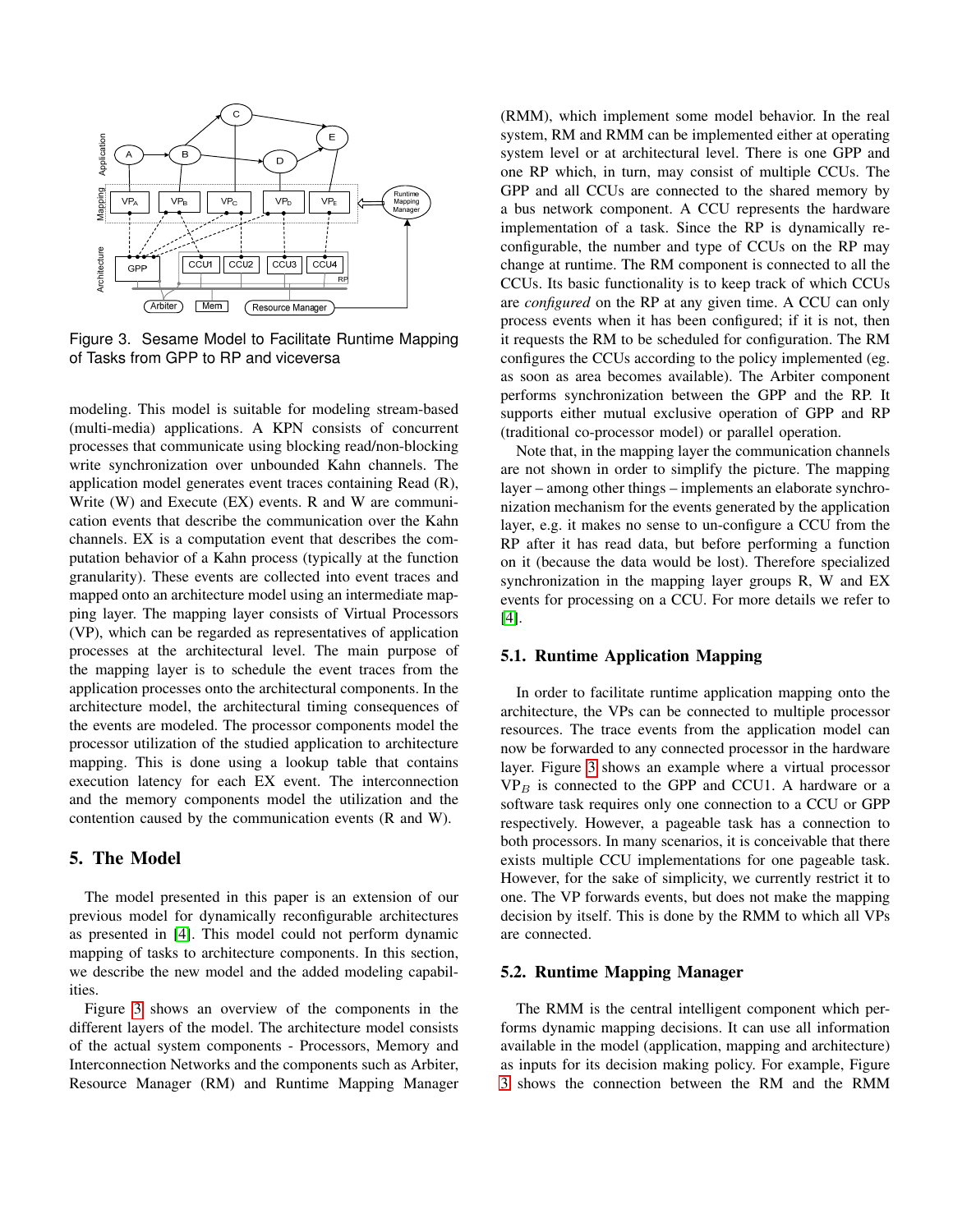

<span id="page-4-1"></span>Figure 3. Sesame Model to Facilitate Runtime Mapping of Tasks from GPP to RP and viceversa

modeling. This model is suitable for modeling stream-based (multi-media) applications. A KPN consists of concurrent processes that communicate using blocking read/non-blocking write synchronization over unbounded Kahn channels. The application model generates event traces containing Read (R), Write (W) and Execute (EX) events. R and W are communication events that describe the communication over the Kahn channels. EX is a computation event that describes the computation behavior of a Kahn process (typically at the function granularity). These events are collected into event traces and mapped onto an architecture model using an intermediate mapping layer. The mapping layer consists of Virtual Processors (VP), which can be regarded as representatives of application processes at the architectural level. The main purpose of the mapping layer is to schedule the event traces from the application processes onto the architectural components. In the architecture model, the architectural timing consequences of the events are modeled. The processor components model the processor utilization of the studied application to architecture mapping. This is done using a lookup table that contains execution latency for each EX event. The interconnection and the memory components model the utilization and the contention caused by the communication events (R and W).

# <span id="page-4-0"></span>5. The Model

The model presented in this paper is an extension of our previous model for dynamically reconfigurable architectures as presented in [\[4\]](#page-7-3). This model could not perform dynamic mapping of tasks to architecture components. In this section, we describe the new model and the added modeling capabilities.

Figure [3](#page-4-1) shows an overview of the components in the different layers of the model. The architecture model consists of the actual system components - Processors, Memory and Interconnection Networks and the components such as Arbiter, Resource Manager (RM) and Runtime Mapping Manager

(RMM), which implement some model behavior. In the real system, RM and RMM can be implemented either at operating system level or at architectural level. There is one GPP and one RP which, in turn, may consist of multiple CCUs. The GPP and all CCUs are connected to the shared memory by a bus network component. A CCU represents the hardware implementation of a task. Since the RP is dynamically reconfigurable, the number and type of CCUs on the RP may change at runtime. The RM component is connected to all the CCUs. Its basic functionality is to keep track of which CCUs are *configured* on the RP at any given time. A CCU can only process events when it has been configured; if it is not, then it requests the RM to be scheduled for configuration. The RM configures the CCUs according to the policy implemented (eg. as soon as area becomes available). The Arbiter component performs synchronization between the GPP and the RP. It supports either mutual exclusive operation of GPP and RP (traditional co-processor model) or parallel operation.

Note that, in the mapping layer the communication channels are not shown in order to simplify the picture. The mapping layer – among other things – implements an elaborate synchronization mechanism for the events generated by the application layer, e.g. it makes no sense to un-configure a CCU from the RP after it has read data, but before performing a function on it (because the data would be lost). Therefore specialized synchronization in the mapping layer groups R, W and EX events for processing on a CCU. For more details we refer to [\[4\]](#page-7-3).

# 5.1. Runtime Application Mapping

In order to facilitate runtime application mapping onto the architecture, the VPs can be connected to multiple processor resources. The trace events from the application model can now be forwarded to any connected processor in the hardware layer. Figure [3](#page-4-1) shows an example where a virtual processor  $VP<sub>B</sub>$  is connected to the GPP and CCU1. A hardware or a software task requires only one connection to a CCU or GPP respectively. However, a pageable task has a connection to both processors. In many scenarios, it is conceivable that there exists multiple CCU implementations for one pageable task. However, for the sake of simplicity, we currently restrict it to one. The VP forwards events, but does not make the mapping decision by itself. This is done by the RMM to which all VPs are connected.

#### 5.2. Runtime Mapping Manager

The RMM is the central intelligent component which performs dynamic mapping decisions. It can use all information available in the model (application, mapping and architecture) as inputs for its decision making policy. For example, Figure [3](#page-4-1) shows the connection between the RM and the RMM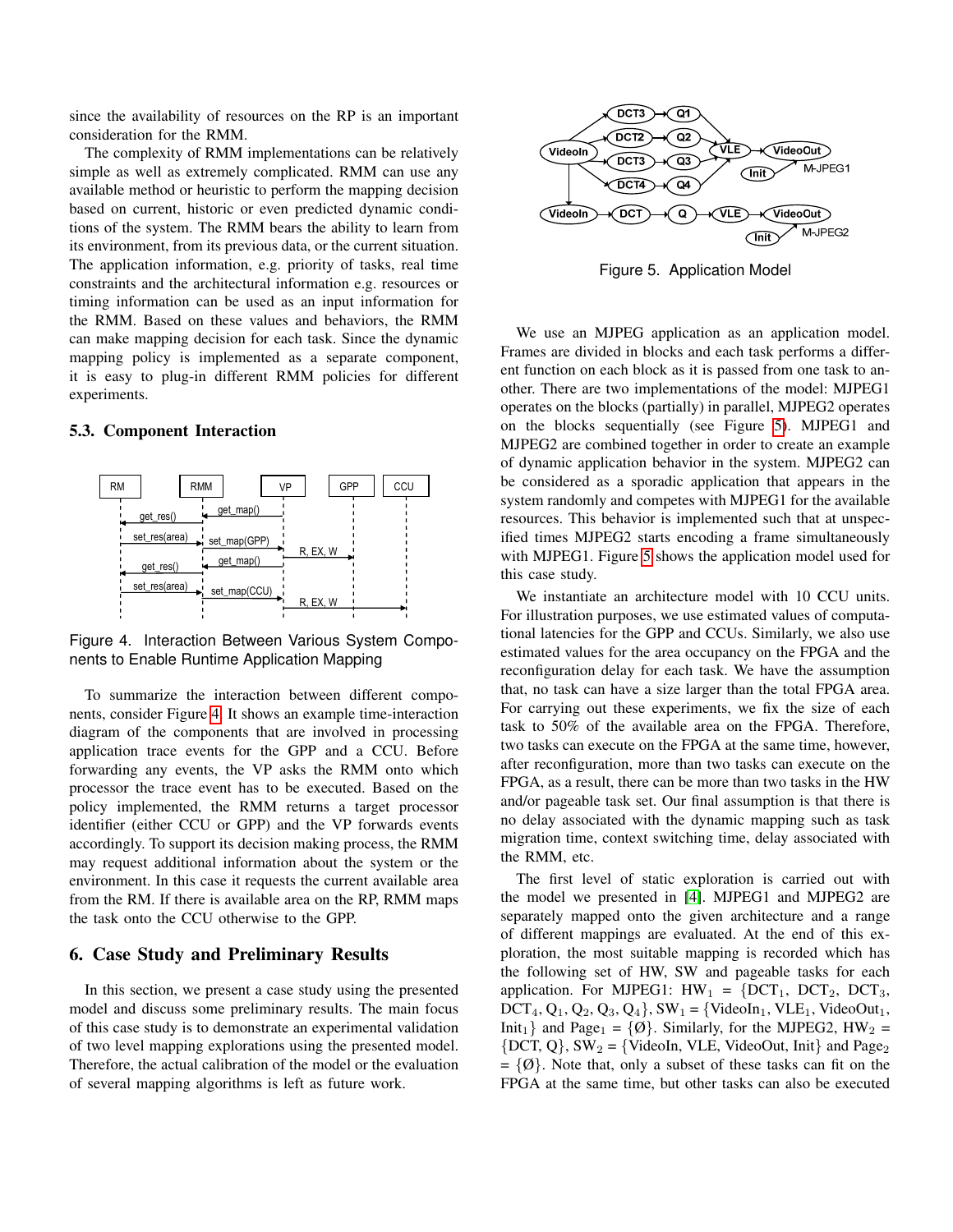since the availability of resources on the RP is an important consideration for the RMM.

The complexity of RMM implementations can be relatively simple as well as extremely complicated. RMM can use any available method or heuristic to perform the mapping decision based on current, historic or even predicted dynamic conditions of the system. The RMM bears the ability to learn from its environment, from its previous data, or the current situation. The application information, e.g. priority of tasks, real time constraints and the architectural information e.g. resources or timing information can be used as an input information for the RMM. Based on these values and behaviors, the RMM can make mapping decision for each task. Since the dynamic mapping policy is implemented as a separate component, it is easy to plug-in different RMM policies for different experiments.

#### 5.3. Component Interaction



<span id="page-5-1"></span>Figure 4. Interaction Between Various System Components to Enable Runtime Application Mapping

To summarize the interaction between different components, consider Figure [4.](#page-5-1) It shows an example time-interaction diagram of the components that are involved in processing application trace events for the GPP and a CCU. Before forwarding any events, the VP asks the RMM onto which processor the trace event has to be executed. Based on the policy implemented, the RMM returns a target processor identifier (either CCU or GPP) and the VP forwards events accordingly. To support its decision making process, the RMM may request additional information about the system or the environment. In this case it requests the current available area from the RM. If there is available area on the RP, RMM maps the task onto the CCU otherwise to the GPP.

#### <span id="page-5-0"></span>6. Case Study and Preliminary Results

In this section, we present a case study using the presented model and discuss some preliminary results. The main focus of this case study is to demonstrate an experimental validation of two level mapping explorations using the presented model. Therefore, the actual calibration of the model or the evaluation of several mapping algorithms is left as future work.



<span id="page-5-2"></span>Figure 5. Application Model

We use an MJPEG application as an application model. Frames are divided in blocks and each task performs a different function on each block as it is passed from one task to another. There are two implementations of the model: MJPEG1 operates on the blocks (partially) in parallel, MJPEG2 operates on the blocks sequentially (see Figure [5\)](#page-5-2). MJPEG1 and MJPEG2 are combined together in order to create an example of dynamic application behavior in the system. MJPEG2 can be considered as a sporadic application that appears in the system randomly and competes with MJPEG1 for the available resources. This behavior is implemented such that at unspecified times MJPEG2 starts encoding a frame simultaneously with MJPEG1. Figure [5](#page-5-2) shows the application model used for this case study.

We instantiate an architecture model with 10 CCU units. For illustration purposes, we use estimated values of computational latencies for the GPP and CCUs. Similarly, we also use estimated values for the area occupancy on the FPGA and the reconfiguration delay for each task. We have the assumption that, no task can have a size larger than the total FPGA area. For carrying out these experiments, we fix the size of each task to 50% of the available area on the FPGA. Therefore, two tasks can execute on the FPGA at the same time, however, after reconfiguration, more than two tasks can execute on the FPGA, as a result, there can be more than two tasks in the HW and/or pageable task set. Our final assumption is that there is no delay associated with the dynamic mapping such as task migration time, context switching time, delay associated with the RMM, etc.

The first level of static exploration is carried out with the model we presented in [\[4\]](#page-7-3). MJPEG1 and MJPEG2 are separately mapped onto the given architecture and a range of different mappings are evaluated. At the end of this exploration, the most suitable mapping is recorded which has the following set of HW, SW and pageable tasks for each application. For MJPEG1:  $HW_1 = \{ DCT_1, DCT_2, DCT_3,$  $DCT_4$ ,  $Q_1$ ,  $Q_2$ ,  $Q_3$ ,  $Q_4$ ,  $SW_1 = \{VideoIn_1, VLE_1, VideoOut_1,$ Init<sub>1</sub>} and Page<sub>1</sub> = { $\emptyset$ }. Similarly, for the MJPEG2, HW<sub>2</sub> =  ${DCT, Q}$ ,  $SW_2 = {VideoIn, VLE, VideoOut, Init}$  and  $Page_2$  $= \{ \emptyset \}.$  Note that, only a subset of these tasks can fit on the FPGA at the same time, but other tasks can also be executed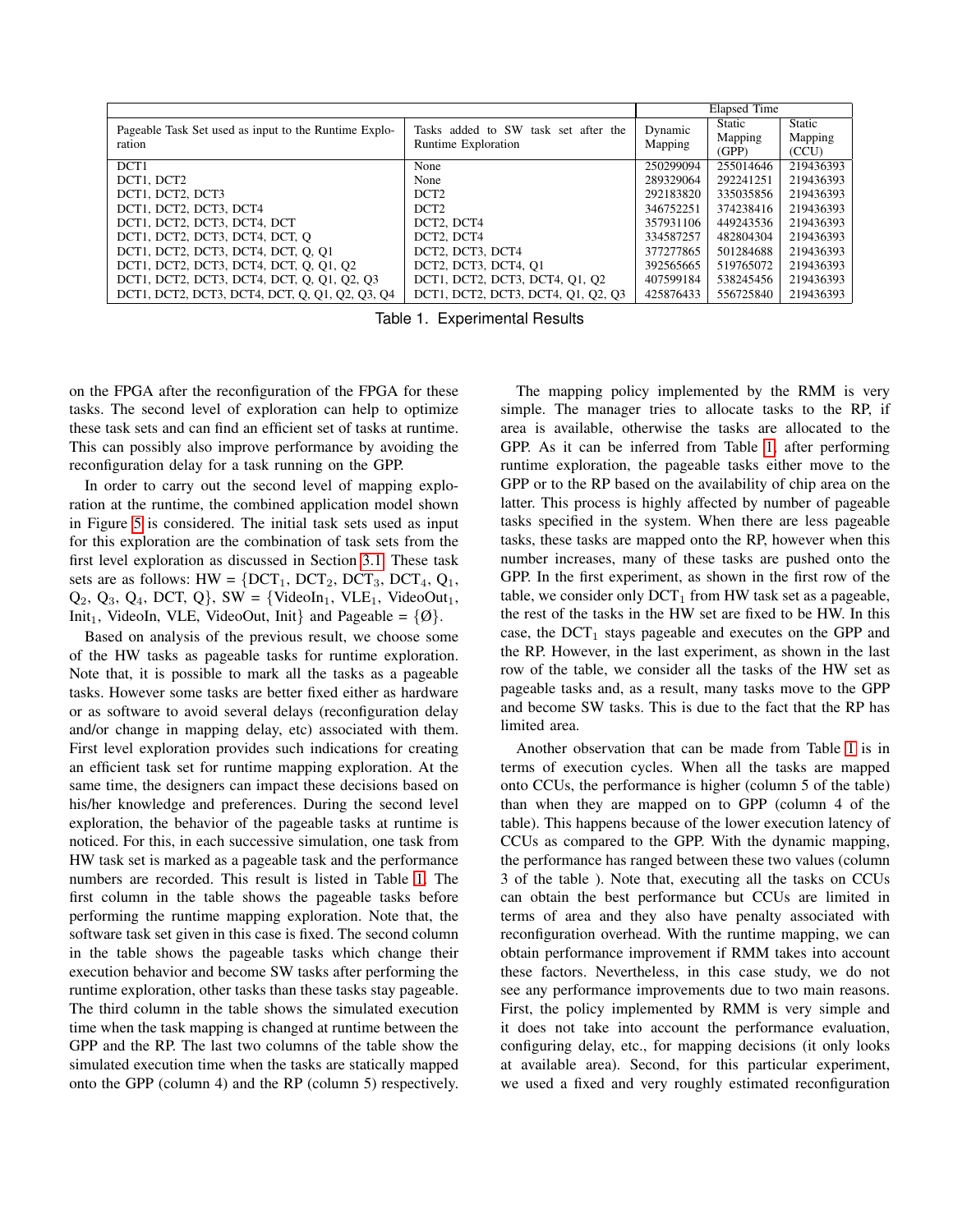|                                                       |                                      | Elapsed Time |               |               |
|-------------------------------------------------------|--------------------------------------|--------------|---------------|---------------|
| Pageable Task Set used as input to the Runtime Explo- | Tasks added to SW task set after the | Dynamic      | <b>Static</b> | <b>Static</b> |
| ration                                                | Runtime Exploration                  | Mapping      | Mapping       | Mapping       |
|                                                       |                                      |              | (GPP)         | (CCU)         |
| DCT <sub>1</sub>                                      | None                                 | 250299094    | 255014646     | 219436393     |
| DCT1, DCT2                                            | None                                 | 289329064    | 292241251     | 219436393     |
| DCT1, DCT2, DCT3                                      | DCT <sub>2</sub>                     | 292183820    | 335035856     | 219436393     |
| DCT1, DCT2, DCT3, DCT4                                | DCT <sub>2</sub>                     | 346752251    | 374238416     | 219436393     |
| DCT1, DCT2, DCT3, DCT4, DCT                           | DCT2, DCT4                           | 357931106    | 449243536     | 219436393     |
| DCT1, DCT2, DCT3, DCT4, DCT, Q                        | DCT2, DCT4                           | 334587257    | 482804304     | 219436393     |
| DCT1, DCT2, DCT3, DCT4, DCT, Q, Q1                    | DCT2, DCT3, DCT4                     | 377277865    | 501284688     | 219436393     |
| DCT1, DCT2, DCT3, DCT4, DCT, Q, Q1, Q2                | DCT2, DCT3, DCT4, 01                 | 392565665    | 519765072     | 219436393     |
| DCT1, DCT2, DCT3, DCT4, DCT, Q, Q1, Q2, Q3            | DCT1, DCT2, DCT3, DCT4, 01, 02       | 407599184    | 538245456     | 219436393     |
| DCT1, DCT2, DCT3, DCT4, DCT, Q, Q1, Q2, Q3, Q4        | DCT1, DCT2, DCT3, DCT4, 01, 02, 03   | 425876433    | 556725840     | 219436393     |

<span id="page-6-0"></span>Table 1. Experimental Results

on the FPGA after the reconfiguration of the FPGA for these tasks. The second level of exploration can help to optimize these task sets and can find an efficient set of tasks at runtime. This can possibly also improve performance by avoiding the reconfiguration delay for a task running on the GPP.

In order to carry out the second level of mapping exploration at the runtime, the combined application model shown in Figure [5](#page-5-2) is considered. The initial task sets used as input for this exploration are the combination of task sets from the first level exploration as discussed in Section [3.1.](#page-2-3) These task sets are as follows:  $HW = \{DCT_1, DCT_2, DCT_3, DCT_4, Q_1,$  $Q_2$ ,  $Q_3$ ,  $Q_4$ , DCT,  $Q$ , SW = {VideoIn<sub>1</sub>, VLE<sub>1</sub>, VideoOut<sub>1</sub>, Init<sub>1</sub>, VideoIn, VLE, VideoOut, Init} and Pageable =  $\{\emptyset\}$ .

Based on analysis of the previous result, we choose some of the HW tasks as pageable tasks for runtime exploration. Note that, it is possible to mark all the tasks as a pageable tasks. However some tasks are better fixed either as hardware or as software to avoid several delays (reconfiguration delay and/or change in mapping delay, etc) associated with them. First level exploration provides such indications for creating an efficient task set for runtime mapping exploration. At the same time, the designers can impact these decisions based on his/her knowledge and preferences. During the second level exploration, the behavior of the pageable tasks at runtime is noticed. For this, in each successive simulation, one task from HW task set is marked as a pageable task and the performance numbers are recorded. This result is listed in Table [1.](#page-6-0) The first column in the table shows the pageable tasks before performing the runtime mapping exploration. Note that, the software task set given in this case is fixed. The second column in the table shows the pageable tasks which change their execution behavior and become SW tasks after performing the runtime exploration, other tasks than these tasks stay pageable. The third column in the table shows the simulated execution time when the task mapping is changed at runtime between the GPP and the RP. The last two columns of the table show the simulated execution time when the tasks are statically mapped onto the GPP (column 4) and the RP (column 5) respectively.

The mapping policy implemented by the RMM is very simple. The manager tries to allocate tasks to the RP, if area is available, otherwise the tasks are allocated to the GPP. As it can be inferred from Table [1,](#page-6-0) after performing runtime exploration, the pageable tasks either move to the GPP or to the RP based on the availability of chip area on the latter. This process is highly affected by number of pageable tasks specified in the system. When there are less pageable tasks, these tasks are mapped onto the RP, however when this number increases, many of these tasks are pushed onto the GPP. In the first experiment, as shown in the first row of the table, we consider only  $DCT_1$  from HW task set as a pageable, the rest of the tasks in the HW set are fixed to be HW. In this case, the  $DCT_1$  stays pageable and executes on the GPP and the RP. However, in the last experiment, as shown in the last row of the table, we consider all the tasks of the HW set as pageable tasks and, as a result, many tasks move to the GPP and become SW tasks. This is due to the fact that the RP has limited area.

Another observation that can be made from Table [1](#page-6-0) is in terms of execution cycles. When all the tasks are mapped onto CCUs, the performance is higher (column 5 of the table) than when they are mapped on to GPP (column 4 of the table). This happens because of the lower execution latency of CCUs as compared to the GPP. With the dynamic mapping, the performance has ranged between these two values (column 3 of the table ). Note that, executing all the tasks on CCUs can obtain the best performance but CCUs are limited in terms of area and they also have penalty associated with reconfiguration overhead. With the runtime mapping, we can obtain performance improvement if RMM takes into account these factors. Nevertheless, in this case study, we do not see any performance improvements due to two main reasons. First, the policy implemented by RMM is very simple and it does not take into account the performance evaluation, configuring delay, etc., for mapping decisions (it only looks at available area). Second, for this particular experiment, we used a fixed and very roughly estimated reconfiguration